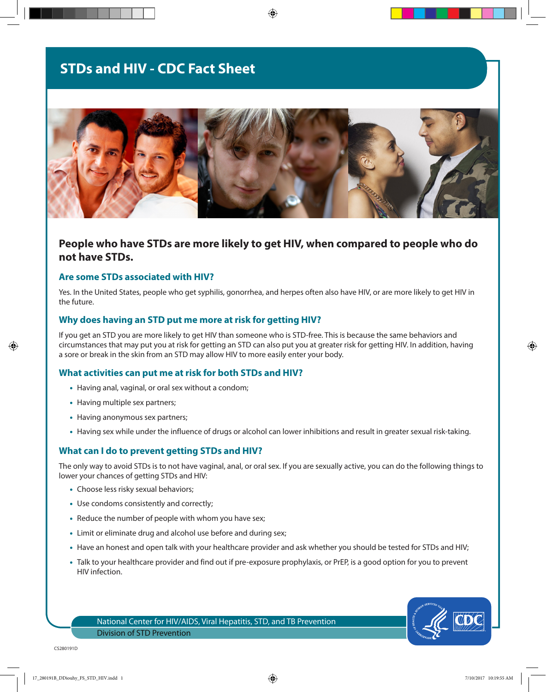# **STDs and HIV - CDC Fact Sheet**



⊕

# **People who have STDs are more likely to get HIV, when compared to people who do not have STDs.**

### **Are some STDs associated with HIV?**

Yes. In the United States, people who get syphilis, gonorrhea, and herpes often also have HIV, or are more likely to get HIV in the future.

#### **Why does having an STD put me more at risk for getting HIV?**

If you get an STD you are more likely to get HIV than someone who is STD-free. This is because the same behaviors and circumstances that may put you at risk for getting an STD can also put you at greater risk for getting HIV. In addition, having a sore or break in the skin from an STD may allow HIV to more easily enter your body.

#### **What activities can put me at risk for both STDs and HIV?**

- Having anal, vaginal, or oral sex without a condom;
- Having multiple sex partners;
- Having anonymous sex partners;
- Having sex while under the influence of drugs or alcohol can lower inhibitions and result in greater sexual risk-taking.

#### **What can I do to prevent getting STDs and HIV?**

The only way to avoid STDs is to not have vaginal, anal, or oral sex. If you are sexually active, you can do the following things to lower your chances of getting STDs and HIV:

- Choose less risky sexual behaviors;
- Use condoms consistently and correctly;
- Reduce the number of people with whom you have sex;
- Limit or eliminate drug and alcohol use before and during sex;
- Have an honest and open talk with your healthcare provider and ask whether you should be tested for STDs and HIV;
- Talk to your healthcare provider and find out if pre-exposure prophylaxis, or PrEP, is a good option for you to prevent HIV infection.

National Center for HIV/AIDS, Viral Hepatitis, STD, and TB Prevention Division of STD Prevention



⊕

⊕